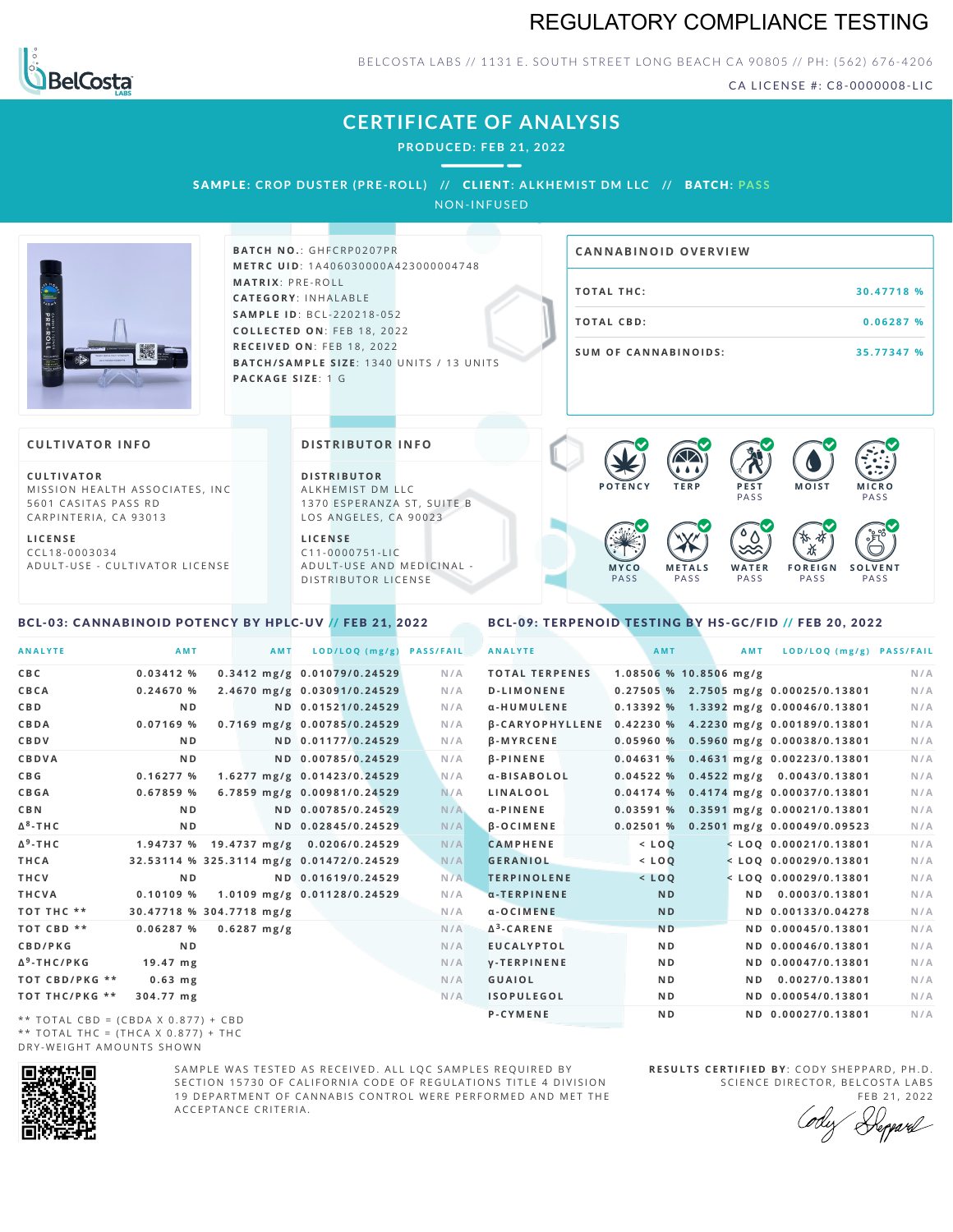# REGULATORY COMPLIANCE TESTING



### BELCOSTA LABS // 1131 E. SOUTH STREET LONG BEACH C A 90805 // PH: (562) 676-4206

CA LICENSE #: C8-0000008-LIC

**M O IS T M IC R O PASS** 

**S O L V E N T** PA S S

# **CERTIFICATE OF ANALYSIS**

**PRODUCED: F EB 21, 2022**

SAMPLE: CROP DUSTER (PRE-ROLL) // CLIENT: ALKHEMIST DM LLC // BATCH: PASS

NON-INFUSED



**BATCH NO.: GHFCRP0207PR M E T R C U ID** :1 A 4 0 6 0 3 0 0 0 0 A 4 2 3 0 0 0 0 0 4 7 4 8 **M AT R I X** :P R E - R O L L **CAT E G O R Y** : I N H A L A B L E **SA M P L E I D** :B C L - 2 2 0 2 1 8 - 0 5 2 **C O L L E C T E D O N** :F E B 1 8 , 2 0 2 2 **R E C E I V E D O N** : F E B 1 8 , 2 0 2 2 **BATCH/SAMPLE SIZE:** 1340 UNITS / 13 UNITS **PAC KA G E S I Z E** : 1 G

| <b>CANNABINOID OVERVIEW</b> |            |
|-----------------------------|------------|
| TOTAL THC:                  | 30.47718 % |
| TOTAL CBD:                  | 0.06287%   |
| <b>SUM OF CANNABINOIDS:</b> | 35.77347 % |

PA S S

 $\bullet$  60 60 60 60

 $\bullet$  0.0 0.0 0.0

**W A T E R** PA S S

**F O R E I G N** PA S S

祅

#### **CULTIVATOR I N FO**

**C U L T I VAT O R** MISSION HEALTH ASSOCIATES, INC. 5601 CASITAS PASS RD CARPINTERIA, CA 93013

**L I C E N S E** C C L 1 8 - 0 0 0 3 0 3 4 A D U L T - U S E - C U L T I V A T O R L I C E N S E

#### **DI STRIBUTOR I N FO**

**D I S T R IB U T O R** ALKHEMIST DM LLC 1370 ESPERANZA ST, SUITE B LOS ANGELES, CA 90023

**L I C E N S E** C 1 1 - 0 0 0 0 7 5 1 - L I C A D U L T - U S E A N D M E D I C I N A L -D ISTRIBUTOR LICENSE

## <span id="page-0-0"></span>BCL-03: CANNABINOID POTENCY BY HPLC-UV // FEB 21, 2022

#### <span id="page-0-1"></span>BCL-09: TERPENOID TESTING BY HS-GC/FID // FEB 20, 2022

**M E T A L S** PA S S

**M Y C O** PA S S

**P O T E N C Y T E R P P E S T**

| <b>ANALYTE</b>                                | AMT                                      | <b>AMT</b>    | LOD/LOQ (mg/g)                        | <b>PASS/FAIL</b> | <b>ANALYTE</b>                                        | AMT                      | <b>AMT</b> | LOD/LOQ (mg/g) PASS/FAIL                |     |
|-----------------------------------------------|------------------------------------------|---------------|---------------------------------------|------------------|-------------------------------------------------------|--------------------------|------------|-----------------------------------------|-----|
| C B C                                         | 0.03412%                                 |               | 0.3412 mg/g 0.01079/0.24529           | N/A              | <b>TOTAL TERPENES</b>                                 | $1.08506$ % 10.8506 mg/g |            |                                         | N/A |
| CBCA                                          | 0.24670%                                 |               | 2.4670 mg/g 0.03091/0.24529           | N/A              | <b>D-LIMONENE</b>                                     |                          |            | $0.27505$ % 2.7505 mg/g 0.00025/0.13801 | N/A |
| C B D                                         | N <sub>D</sub>                           |               | ND 0.01521/0.24529                    | N/A              | α-HUMULENE                                            |                          |            | $0.13392$ % 1.3392 mg/g 0.00046/0.13801 | N/A |
| CBDA                                          | $0.07169$ %                              |               | 0.7169 mg/g 0.00785/0.24529           | N/A              | β-CARYOPHYLLENE 0.42230 % 4.2230 mg/g 0.00189/0.13801 |                          |            |                                         | N/A |
| CBDV                                          | ND.                                      |               | ND 0.01177/0.24529                    | N/A              | <b>B-MYRCENE</b>                                      |                          |            | $0.05960$ % 0.5960 mg/g 0.00038/0.13801 | N/A |
| CBDVA                                         | N <sub>D</sub>                           |               | ND 0.00785/0.24529                    | N/A              | <b>B-PINENE</b>                                       |                          |            | $0.04631\%$ 0.4631 mg/g 0.00223/0.13801 | N/A |
| C B G                                         | 0.16277%                                 |               | 1.6277 mg/g 0.01423/0.24529           | N/A              | α-BISABOLOL                                           |                          |            | $0.04522$ % 0.4522 mg/g 0.0043/0.13801  | N/A |
| CBGA                                          | 0.67859%                                 |               | 6.7859 mg/g 0.00981/0.24529           | N/A              | LINALOOL                                              |                          |            | $0.04174$ % 0.4174 mg/g 0.00037/0.13801 | N/A |
| C B N                                         | N <sub>D</sub>                           |               | ND 0.00785/0.24529                    | N/A              | $\alpha$ -PINENE                                      |                          |            | $0.03591\%$ 0.3591 mg/g 0.00021/0.13801 | N/A |
| Δ <sup>8</sup> -ΤΗ C                          | N <sub>D</sub>                           |               | ND 0.02845/0.24529                    | N/A              | $\beta$ -OCIMENE                                      |                          |            | $0.02501\%$ 0.2501 mg/g 0.00049/0.09523 | N/A |
| Δ <sup>9</sup> -ΤΗ C                          |                                          |               | 1.94737 % 19.4737 mg/g 0.0206/0.24529 | N/A              | <b>CAMPHENE</b>                                       | $<$ LOQ                  |            | $<$ LOQ 0.00021/0.13801                 | N/A |
| THCA                                          | 32.53114 % 325.3114 mg/g 0.01472/0.24529 |               |                                       | N/A              | <b>GERANIOL</b>                                       | $<$ LOQ                  |            | $<$ LOQ 0.00029/0.13801                 | N/A |
| THCV                                          | N <sub>D</sub>                           |               | ND 0.01619/0.24529                    | N/A              | <b>TERPINOLENE</b>                                    | $<$ LOQ                  |            | $<$ LOQ 0.00029/0.13801                 | N/A |
| THCVA                                         | 0.10109%                                 |               | 1.0109 mg/g 0.01128/0.24529           | N/A              | $\alpha$ -TERPINENE                                   | <b>ND</b>                |            | ND 0.0003/0.13801                       | N/A |
| тот тнс **                                    | 30.47718 % 304.7718 mg/g                 |               |                                       | N/A              | $a - O$ CIMENE                                        | <b>ND</b>                |            | ND 0.00133/0.04278                      | N/A |
| TOT CBD **                                    | 0.06287%                                 | $0.6287$ mg/g |                                       | N/A              | $\Delta^3$ -CARENE                                    | N <sub>D</sub>           |            | ND 0.00045/0.13801                      | N/A |
| <b>CBD/PKG</b>                                | N <sub>D</sub>                           |               |                                       | N/A              | <b>EUCALYPTOL</b>                                     | N <sub>D</sub>           |            | ND 0.00046/0.13801                      | N/A |
| Δ <sup>9</sup> -THC/PKG                       | $19.47$ mg                               |               |                                       | N/A              | <b>V-TERPINENE</b>                                    | N <sub>D</sub>           |            | ND 0.00047/0.13801                      | N/A |
| ТОТ СВD/РКG **                                | $0.63$ mg                                |               |                                       | N/A              | <b>GUAIOL</b>                                         | N <sub>D</sub>           |            | ND 0.0027/0.13801                       | N/A |
| ТОТ ТНС/РКG **                                | 304.77 mg                                |               |                                       | N/A              | <b>ISOPULEGOL</b>                                     | N <sub>D</sub>           |            | ND 0.00054/0.13801                      | N/A |
| $\star\star$ TOTAL CRD = (CRDA V 0.077) + CRD |                                          |               |                                       |                  | <b>P-CYMENE</b>                                       | N <sub>D</sub>           |            | ND 0.00027/0.13801                      | N/A |

\*\* TOTAL CBD = (CBDA X 0.877) + CBD \*\* TOTAL THC =  $(THCA X 0.877) + THC$ DRY-WEIGHT AMOUNTS SHOWN



SAMPLE WAS TESTED AS RECEIVED. ALL LOC SAMPLES REQUIRED BY SECTION 15730 OF CALIFORNIA CODE OF REGULATIONS TITLE 4 DIVISION 19 DEPARTMENT OF CANNABIS CONTROL WERE PERFORMED AND MET THE A C C E P T A N C E C R I T E R I A .

**R E S U L T S C E R T I F I E D BY** : C O D Y S H E P P A R D ,P H .D . SCIENCE DIRECTOR, BELCOSTA LABS

FEB 21, 2022 Deppard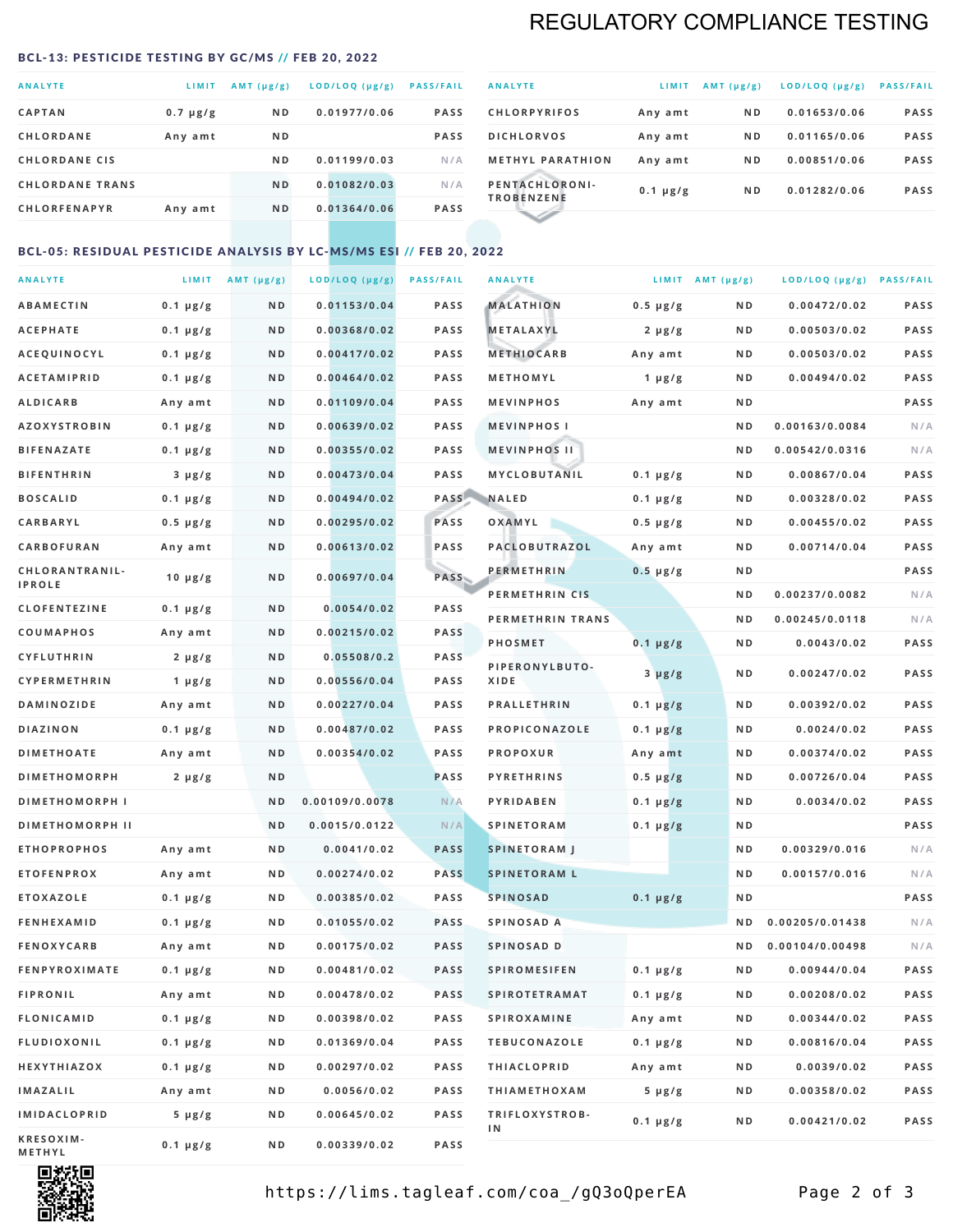# REGULATORY COMPLIANCE TESTING

#### <span id="page-1-0"></span>BCL-13: PESTICIDE TESTING BY GC/MS // FEB 20, 2022

| <b>ANALYTE</b>         | LIMIT         | $AMT$ ( $\mu g/g$ ) | LOD/LOQ (µg/g) | <b>PASS/FAIL</b> |
|------------------------|---------------|---------------------|----------------|------------------|
| <b>CAPTAN</b>          | $0.7 \mu g/g$ | N <sub>D</sub>      | 0.01977/0.06   | <b>PASS</b>      |
| <b>CHLORDANE</b>       | Any amt       | N <sub>D</sub>      |                | <b>PASS</b>      |
| <b>CHLORDANE CIS</b>   |               | N <sub>D</sub>      | 0.01199/0.03   | N/A              |
| <b>CHLORDANE TRANS</b> |               | N <sub>D</sub>      | 0.01082/0.03   | N/A              |
| <b>CHLORFENAPYR</b>    | Any amt       | N <sub>D</sub>      | 0.01364/0.06   | <b>PASS</b>      |

| <b>ANALYTE</b>                      | LIMIT         | $AMT (\mu g/g)$ | LOD/LOQ (µg/g) | <b>PASS/FAIL</b> |
|-------------------------------------|---------------|-----------------|----------------|------------------|
| <b>CHLORPYRIFOS</b>                 | Any amt       | N <sub>D</sub>  | 0.01653/0.06   | <b>PASS</b>      |
| <b>DICHLORVOS</b>                   | Any amt       | N <sub>D</sub>  | 0.01165/0.06   | <b>PASS</b>      |
| <b>METHYL PARATHION</b>             | Any amt       | N <sub>D</sub>  | 0.00851/0.06   | <b>PASS</b>      |
| PENTACHLORONI-<br><b>TROBENZENE</b> | $0.1 \mu g/g$ | N <sub>D</sub>  | 0.01282/0.06   | <b>PASS</b>      |
|                                     |               |                 |                |                  |

## BCL-05: RESIDUAL PESTICIDE ANALYSIS BY LC-MS/MS ESI // FEB 20, 2022

| <b>ANALYTE</b>         |                  | LIMIT $AMT (\mu g/g)$ | LOD/LOQ (µg/g) | <b>PASS/FAIL</b> | <b>ANALYTE</b>       |                  | LIMIT AMT $(\mu g/g)$ | LOD/LOQ (µg/g) PASS/FAIL |             |
|------------------------|------------------|-----------------------|----------------|------------------|----------------------|------------------|-----------------------|--------------------------|-------------|
| <b>ABAMECTIN</b>       | $0.1 \mu g/g$    | N D                   | 0.01153/0.04   | PASS             | <b>MALATHION</b>     | $0.5 \mu g/g$    | N D                   | 0.00472/0.02             | <b>PASS</b> |
| <b>ACEPHATE</b>        | $0.1 \mu g/g$    | N D                   | 0.00368/0.02   | <b>PASS</b>      | <b>METALAXYL</b>     | $2 \mu g/g$      | N D                   | 0.00503/0.02             | PASS        |
| ACEQUINOCYL            | $0.1 \mu g/g$    | N D                   | 0.00417/0.02   | <b>PASS</b>      | <b>METHIOCARB</b>    | Any amt          | N D                   | 0.00503/0.02             | PASS        |
| <b>ACETAMIPRID</b>     | $0.1 \mu g/g$    | N D                   | 0.00464/0.02   | <b>PASS</b>      | METHOMYL             | 1 $\mu$ g/g      | N D                   | 0.00494/0.02             | PASS        |
| <b>ALDICARB</b>        | Any amt          | N D                   | 0.01109/0.04   | <b>PASS</b>      | <b>MEVINPHOS</b>     | Any amt          | N D                   |                          | PASS        |
| <b>AZOXYSTROBIN</b>    | $0.1 \mu g/g$    | N D                   | 0.00639/0.02   | <b>PASS</b>      | <b>MEVINPHOSI</b>    |                  | N D                   | 0.00163/0.0084           | N/A         |
| <b>BIFENAZATE</b>      | $0.1 \, \mu g/g$ | N D                   | 0.00355/0.02   | <b>PASS</b>      | <b>MEVINPHOS II</b>  |                  | N D                   | 0.00542/0.0316           | N/A         |
| <b>BIFENTHRIN</b>      | $3 \mu g/g$      | N D                   | 0.00473/0.04   | PASS             | MYCLOBUTANIL         | $0.1 \mu g/g$    | N D                   | 0.00867/0.04             | PASS        |
| <b>BOSCALID</b>        | $0.1 \mu g/g$    | N D                   | 0.00494/0.02   | PASS             | <b>NALED</b>         | $0.1 \mu g/g$    | N D                   | 0.00328/0.02             | PASS        |
| CARBARYL               | $0.5 \mu g/g$    | N D                   | 0.00295/0.02   | PASS             | OXAMYL               | $0.5 \, \mu g/g$ | N D                   | 0.00455/0.02             | PASS        |
| CARBOFURAN             | Any amt          | N D                   | 0.00613/0.02   | PASS             | PACLOBUTRAZOL        | Any amt          | N D                   | 0.00714/0.04             | PASS        |
| CHLORANTRANIL-         | $10 \mu g/g$     | N D                   | 0.00697/0.04   | <b>PASS</b>      | <b>PERMETHRIN</b>    | $0.5 \mu g/g$    | N D                   |                          | PASS        |
| <b>IPROLE</b>          |                  |                       |                |                  | PERMETHRIN CIS       |                  | N D                   | 0.00237/0.0082           | N/A         |
| <b>CLOFENTEZINE</b>    | $0.1 \mu g/g$    | N D                   | 0.0054/0.02    | <b>PASS</b>      | PERMETHRIN TRANS     |                  | N D                   | 0.00245/0.0118           | N/A         |
| <b>COUMAPHOS</b>       | Any amt          | N D                   | 0.00215/0.02   | <b>PASS</b>      | <b>PHOSMET</b>       | $0.1 \mu g/g$    | N D                   | 0.0043/0.02              | PASS        |
| CYFLUTHRIN             | $2 \mu g/g$      | N D                   | 0.05508/0.2    | <b>PASS</b>      | PIPERONYLBUTO-       | $3 \mu g/g$      | N D                   | 0.00247/0.02             | PASS        |
| CYPERMETHRIN           | $1 \mu g/g$      | ND                    | 0.00556/0.04   | <b>PASS</b>      | XIDE                 |                  |                       |                          |             |
| <b>DAMINOZIDE</b>      | Any amt          | N D                   | 0.00227/0.04   | PASS             | <b>PRALLETHRIN</b>   | $0.1 \mu g/g$    | N D                   | 0.00392/0.02             | PASS        |
| <b>DIAZINON</b>        | $0.1 \mu g/g$    | N D                   | 0.00487/0.02   | <b>PASS</b>      | PROPICONAZOLE        | $0.1 \mu g/g$    | N D                   | 0.0024/0.02              | PASS        |
| <b>DIMETHOATE</b>      | Any amt          | N D                   | 0.00354/0.02   | <b>PASS</b>      | <b>PROPOXUR</b>      | Any amt          | N D                   | 0.00374/0.02             | PASS        |
| <b>DIMETHOMORPH</b>    | $2 \mu g/g$      | N D                   |                | <b>PASS</b>      | <b>PYRETHRINS</b>    | $0.5 \mu g/g$    | N D                   | 0.00726/0.04             | PASS        |
| <b>DIMETHOMORPH I</b>  |                  | N D                   | 0.00109/0.0078 | N/A              | PYRIDABEN            | $0.1 \mu g/g$    | N D                   | 0.0034/0.02              | PASS        |
| <b>DIMETHOMORPH II</b> |                  | N <sub>D</sub>        | 0.0015/0.0122  | N/A              | <b>SPINETORAM</b>    | $0.1 \mu g/g$    | N D                   |                          | PASS        |
| <b>ETHOPROPHOS</b>     | Any amt          | N D                   | 0.0041/0.02    | <b>PASS</b>      | <b>SPINETORAM J</b>  |                  | ND.                   | 0.00329/0.016            | N/A         |
| <b>ETOFENPROX</b>      | Any amt          | N D                   | 0.00274/0.02   | <b>PASS</b>      | <b>SPINETORAM L</b>  |                  | N D                   | 0.00157/0.016            | N/A         |
| <b>ETOXAZOLE</b>       | $0.1 \mu g/g$    | N D                   | 0.00385/0.02   | <b>PASS</b>      | <b>SPINOSAD</b>      | $0.1 \mu g/g$    | N D                   |                          | PASS        |
| <b>FENHEXAMID</b>      | $0.1 \mu g/g$    | N D                   | 0.01055/0.02   | <b>PASS</b>      | SPINOSAD A           |                  | N D                   | 0.00205/0.01438          | N/A         |
| <b>FENOXYCARB</b>      | Any amt          | N D                   | 0.00175/0.02   | <b>PASS</b>      | SPINOSAD D           |                  | N D                   | 0.00104/0.00498          | N/A         |
| <b>FENPYROXIMATE</b>   | $0.1 \mu g/g$    | N D                   | 0.00481/0.02   | PASS             | <b>SPIROMESIFEN</b>  | $0.1 \mu g/g$    | N D                   | 0.00944/0.04             | PASS        |
| <b>FIPRONIL</b>        | Any amt          | N D                   | 0.00478/0.02   | <b>PASS</b>      | <b>SPIROTETRAMAT</b> | $0.1 \mu g/g$    | N D                   | 0.00208/0.02             | PASS        |
| <b>FLONICAMID</b>      | $0.1 \mu g/g$    | N D                   | 0.00398/0.02   | PASS             | <b>SPIROXAMINE</b>   | Any amt          | N D                   | 0.00344/0.02             | PASS        |
| <b>FLUDIOXONIL</b>     | $0.1 \mu g/g$    | N D                   | 0.01369/0.04   | PASS             | <b>TEBUCONAZOLE</b>  | $0.1 \mu g/g$    | N D                   | 0.00816/0.04             | PASS        |
| HEXYTHIAZOX            | $0.1 \mu g/g$    | N D                   | 0.00297/0.02   | PASS             | <b>THIACLOPRID</b>   | Any amt          | N D                   | 0.0039/0.02              | PASS        |
| <b>IMAZALIL</b>        | Any amt          | N D                   | 0.0056/0.02    | PASS             | <b>THIAMETHOXAM</b>  | $5 \mu g/g$      | N D                   | 0.00358/0.02             | PASS        |
| <b>IMIDACLOPRID</b>    | $5 \mu g/g$      | N D                   | 0.00645/0.02   | <b>PASS</b>      | TRIFLOXYSTROB-<br>1N | $0.1 \mu g/g$    | N D                   | 0.00421/0.02             | PASS        |
| KRESOXIM-<br>METHYL    | 0.1 µg/g         | N D                   | 0.00339/0.02   | PASS             |                      |                  |                       |                          |             |